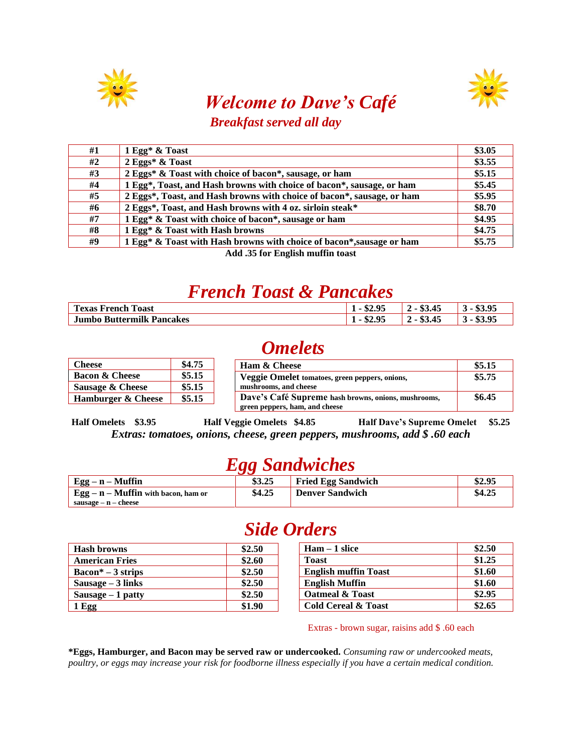



#### *Welcome to Dave's Café Breakfast served all day*

| #1 | 1 Egg* & Toast                                                         | \$3.05 |
|----|------------------------------------------------------------------------|--------|
| #2 | 2 Eggs* & Toast                                                        | \$3.55 |
| #3 | 2 Eggs* & Toast with choice of bacon*, sausage, or ham                 | \$5.15 |
| #4 | 1 Egg*, Toast, and Hash browns with choice of bacon*, sausage, or ham  | \$5.45 |
| #5 | 2 Eggs*, Toast, and Hash browns with choice of bacon*, sausage, or ham | \$5.95 |
| #6 | 2 Eggs*, Toast, and Hash browns with 4 oz. sirloin steak*              | \$8.70 |
| #7 | 1 Egg* & Toast with choice of bacon*, sausage or ham                   | \$4.95 |
| #8 | 1 Egg* & Toast with Hash browns                                        | \$4.75 |
| #9 | 1 Egg* & Toast with Hash browns with choice of bacon*, sausage or ham  | \$5.75 |

**Add .35 for English muffin toast**

## *French Toast & Pancakes*

| <b>CON</b><br>$\overline{\phantom{a}}$<br>Toast<br>exas<br>French | 04<br>∠ ⊓،<br>л. | д.<br>۰в.        |  |
|-------------------------------------------------------------------|------------------|------------------|--|
| <b>Jumbo Buttermilk Pancakes</b>                                  | J4.J.<br>л.      | <u>д.</u><br>мπ. |  |

## *Omelets*

| <b>Cheese</b>               | \$4.75 | <b>Ham &amp; Cheese</b>                             | \$5.15 |
|-----------------------------|--------|-----------------------------------------------------|--------|
| <b>Bacon &amp; Cheese</b>   | \$5.15 | Veggie Omelet tomatoes, green peppers, onions,      | \$5.75 |
| <b>Sausage &amp; Cheese</b> | \$5.15 | mushrooms, and cheese                               |        |
| Hamburger & Cheese          | \$5.15 | Dave's Café Supreme hash browns, onions, mushrooms, | \$6.45 |
|                             |        | green peppers, ham, and cheese                      |        |

**Half Omelets \$3.95 Half Veggie Omelets \$4.85 Half Dave's Supreme Omelet \$5.25** *Extras: tomatoes, onions, cheese, green peppers, mushrooms, add \$ .60 each*

### *Egg Sandwiches*

|                                                   | .      |                           |        |
|---------------------------------------------------|--------|---------------------------|--------|
| $\mid$ Egg – n – Muffin                           | \$3.25 | <b>Fried Egg Sandwich</b> | \$2.95 |
| $\frac{1}{2}$ Egg – n – Muffin with bacon, ham or | \$4.25 | <b>Denver Sandwich</b>    | \$4.25 |
| sausage – n – cheese                              |        |                           |        |

### *Side Orders*

| <b>Hash browns</b>                  | \$2.50 | $Ham - 1$ slice                | \$2.50 |
|-------------------------------------|--------|--------------------------------|--------|
| <b>American Fries</b>               | \$2.60 | <b>Toast</b>                   | \$1.25 |
| $\text{Bacon}^* - 3 \text{ strips}$ | \$2.50 | <b>English muffin Toast</b>    | \$1.60 |
| Sausage $-3$ links                  | \$2.50 | <b>English Muffin</b>          | \$1.60 |
| Sausage $-1$ patty                  | \$2.50 | <b>Oatmeal &amp; Toast</b>     | \$2.95 |
| 1 Egg                               | \$1.90 | <b>Cold Cereal &amp; Toast</b> | \$2.65 |

Extras - brown sugar, raisins add \$ .60 each

**\*Eggs, Hamburger, and Bacon may be served raw or undercooked.** *Consuming raw or undercooked meats, poultry, or eggs may increase your risk for foodborne illness especially if you have a certain medical condition.*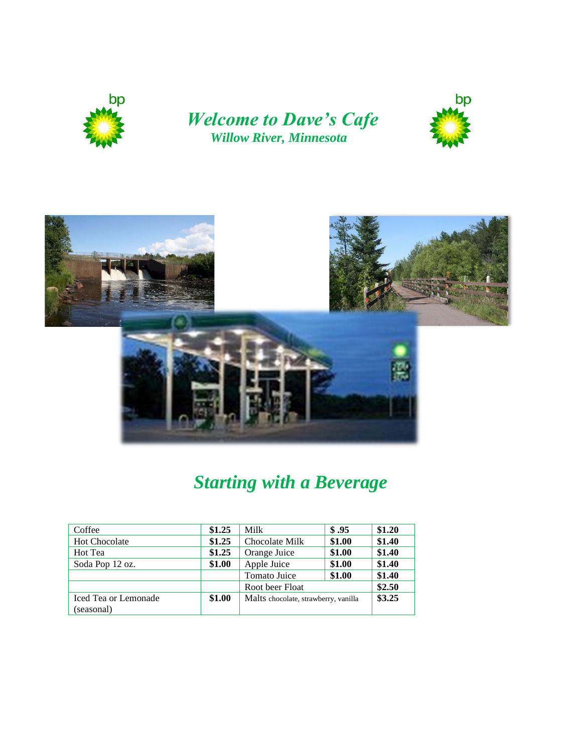

#### *Welcome to Dave's Cafe Willow River, Minnesota*





# *Starting with a Beverage*

| Coffee                      | \$1.25 | Milk                                 | \$.95  | \$1.20 |
|-----------------------------|--------|--------------------------------------|--------|--------|
| <b>Hot Chocolate</b>        | \$1.25 | Chocolate Milk                       | \$1.00 | \$1.40 |
| Hot Tea                     | \$1.25 | Orange Juice                         | \$1.00 | \$1.40 |
| Soda Pop 12 oz.             | \$1.00 | Apple Juice                          | \$1.00 | \$1.40 |
|                             |        | Tomato Juice                         | \$1.00 | \$1.40 |
|                             |        | Root beer Float                      |        | \$2.50 |
| <b>Iced Tea or Lemonade</b> | \$1.00 | Malts chocolate, strawberry, vanilla |        | \$3.25 |
| (seasonal)                  |        |                                      |        |        |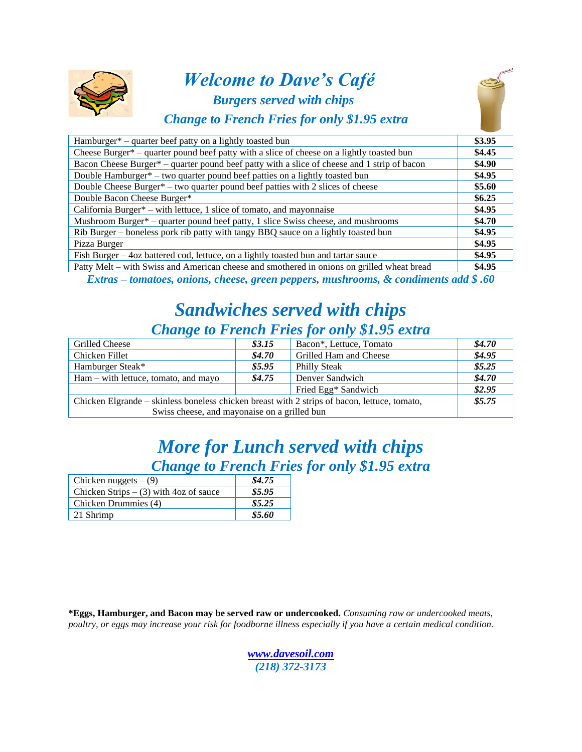

#### *Welcome to Dave's Café Burgers served with chips Change to French Fries for only \$1.95 extr[a](http://forecast.weather.gov/MapClick.php?CityName=Willow+River&state=MN&site=DLH&lat=46.32&lon=-92.8367#.VKVmAChBp95)*



| Hamburger* – quarter beef patty on a lightly toasted bun                                    | \$3.95 |
|---------------------------------------------------------------------------------------------|--------|
| Cheese Burger* – quarter pound beef patty with a slice of cheese on a lightly toasted bun   | \$4.45 |
| Bacon Cheese Burger* – quarter pound beef patty with a slice of cheese and 1 strip of bacon | \$4.90 |
| Double Hamburger* – two quarter pound beef patties on a lightly toasted bun                 | \$4.95 |
| Double Cheese Burger* – two quarter pound beef patties with 2 slices of cheese              | \$5.60 |
| Double Bacon Cheese Burger*                                                                 | \$6.25 |
| California Burger* – with lettuce, 1 slice of tomato, and mayonnaise                        | \$4.95 |
| Mushroom Burger* – quarter pound beef patty, 1 slice Swiss cheese, and mushrooms            | \$4.70 |
| Rib Burger – boneless pork rib patty with tangy BBQ sauce on a lightly toasted bun          | \$4.95 |
| Pizza Burger                                                                                | \$4.95 |
| Fish Burger - 4oz battered cod, lettuce, on a lightly toasted bun and tartar sauce          | \$4.95 |
| Patty Melt – with Swiss and American cheese and smothered in onions on grilled wheat bread  | \$4.95 |

*Extras – tomatoes, onions, cheese, green peppers, mushrooms, & condiments add \$ .60*

#### *Sandwiches served with chips Change to French Fries for only \$1.95 extra*

| <b>Grilled Cheese</b>                                                                        | \$3.15 | Bacon*, Lettuce, Tomato | \$4.70 |  |
|----------------------------------------------------------------------------------------------|--------|-------------------------|--------|--|
| Chicken Fillet                                                                               | \$4.70 | Grilled Ham and Cheese  | \$4.95 |  |
| Hamburger Steak*                                                                             | \$5.95 | Philly Steak            | \$5.25 |  |
| $Ham - with$ lettuce, tomato, and mayo                                                       | \$4.75 | Denver Sandwich         | \$4.70 |  |
|                                                                                              |        | Fried Egg* Sandwich     | \$2.95 |  |
| Chicken Elgrande – skinless boneless chicken breast with 2 strips of bacon, lettuce, tomato, |        |                         |        |  |
| Swiss cheese, and mayonaise on a grilled bun                                                 |        |                         |        |  |

## *More for Lunch served with chips Change to French Fries for only \$1.95 extra*

| Chicken nuggets $- (9)$                  | \$4.75 |
|------------------------------------------|--------|
| Chicken Strips $-$ (3) with 4oz of sauce | \$5.95 |
| Chicken Drummies (4)                     | \$5.25 |
| 21 Shrimp                                | \$5.60 |

**\*Eggs, Hamburger, and Bacon may be served raw or undercooked.** *Consuming raw or undercooked meats, poultry, or eggs may increase your risk for foodborne illness especially if you have a certain medical condition.*

> *[www.davesoil.com](http://www.davesoil.com/) (218) 372-3173*